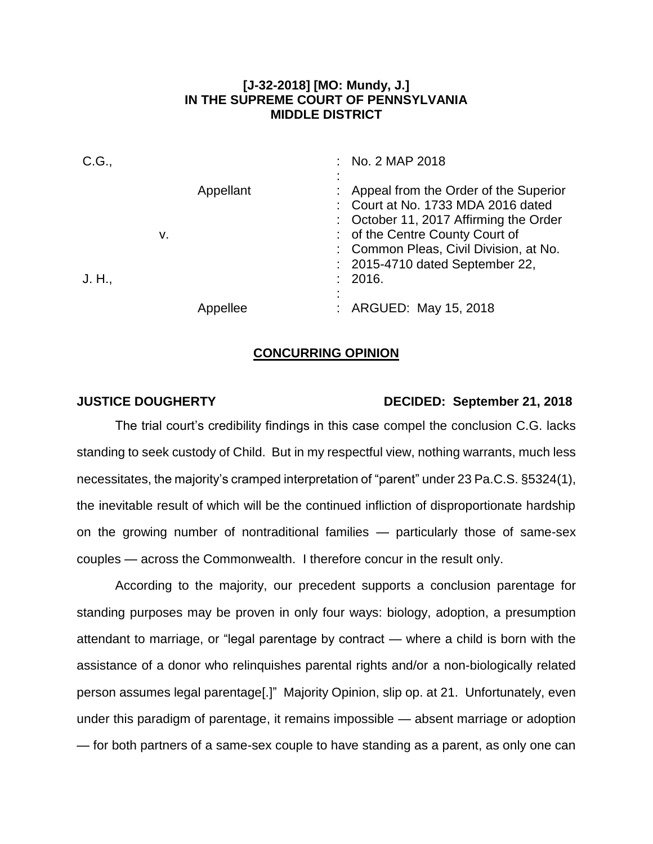## **[J-32-2018] [MO: Mundy, J.] IN THE SUPREME COURT OF PENNSYLVANIA MIDDLE DISTRICT**

| C.G.,  |                 | : No. 2 MAP 2018                                                                                                                                                                                                                                 |
|--------|-----------------|--------------------------------------------------------------------------------------------------------------------------------------------------------------------------------------------------------------------------------------------------|
| J. H., | Appellant<br>v. | Appeal from the Order of the Superior<br>: Court at No. 1733 MDA 2016 dated<br>: October 11, 2017 Affirming the Order<br>: of the Centre County Court of<br>: Common Pleas, Civil Division, at No.<br>: 2015-4710 dated September 22,<br>: 2016. |
|        | llee            | : ARGUED: May 15, 2018                                                                                                                                                                                                                           |

## **CONCURRING OPINION**

## **JUSTICE DOUGHERTY DECIDED: September 21, 2018**

The trial court's credibility findings in this case compel the conclusion C.G. lacks standing to seek custody of Child. But in my respectful view, nothing warrants, much less necessitates, the majority's cramped interpretation of "parent" under 23 Pa.C.S. §5324(1), the inevitable result of which will be the continued infliction of disproportionate hardship on the growing number of nontraditional families — particularly those of same-sex couples — across the Commonwealth. I therefore concur in the result only.

According to the majority, our precedent supports a conclusion parentage for standing purposes may be proven in only four ways: biology, adoption, a presumption attendant to marriage, or "legal parentage by contract — where a child is born with the assistance of a donor who relinquishes parental rights and/or a non-biologically related person assumes legal parentage[.]" Majority Opinion, slip op. at 21. Unfortunately, even under this paradigm of parentage, it remains impossible — absent marriage or adoption — for both partners of a same-sex couple to have standing as a parent, as only one can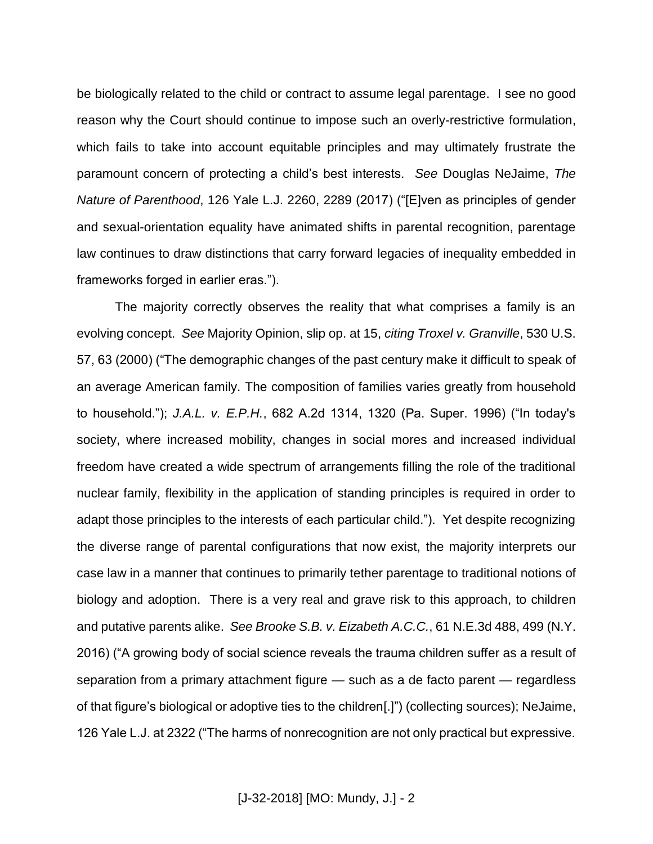be biologically related to the child or contract to assume legal parentage. I see no good reason why the Court should continue to impose such an overly-restrictive formulation, which fails to take into account equitable principles and may ultimately frustrate the paramount concern of protecting a child's best interests. *See* Douglas NeJaime, *The Nature of Parenthood*, 126 Yale L.J. 2260, 2289 (2017) ("[E]ven as principles of gender and sexual-orientation equality have animated shifts in parental recognition, parentage law continues to draw distinctions that carry forward legacies of inequality embedded in frameworks forged in earlier eras.").

The majority correctly observes the reality that what comprises a family is an evolving concept. *See* Majority Opinion, slip op. at 15, *citing Troxel v. Granville*, 530 U.S. 57, 63 (2000) ("The demographic changes of the past century make it difficult to speak of an average American family. The composition of families varies greatly from household to household."); *J.A.L. v. E.P.H.*, 682 A.2d 1314, 1320 (Pa. Super. 1996) ("In today's society, where increased mobility, changes in social mores and increased individual freedom have created a wide spectrum of arrangements filling the role of the traditional nuclear family, flexibility in the application of standing principles is required in order to adapt those principles to the interests of each particular child."). Yet despite recognizing the diverse range of parental configurations that now exist, the majority interprets our case law in a manner that continues to primarily tether parentage to traditional notions of biology and adoption. There is a very real and grave risk to this approach, to children and putative parents alike. *See Brooke S.B. v. Eizabeth A.C.C.*, 61 N.E.3d 488, 499 (N.Y. 2016) ("A growing body of social science reveals the trauma children suffer as a result of separation from a primary attachment figure — such as a de facto parent — regardless of that figure's biological or adoptive ties to the children[.]") (collecting sources); NeJaime, 126 Yale L.J. at 2322 ("The harms of nonrecognition are not only practical but expressive.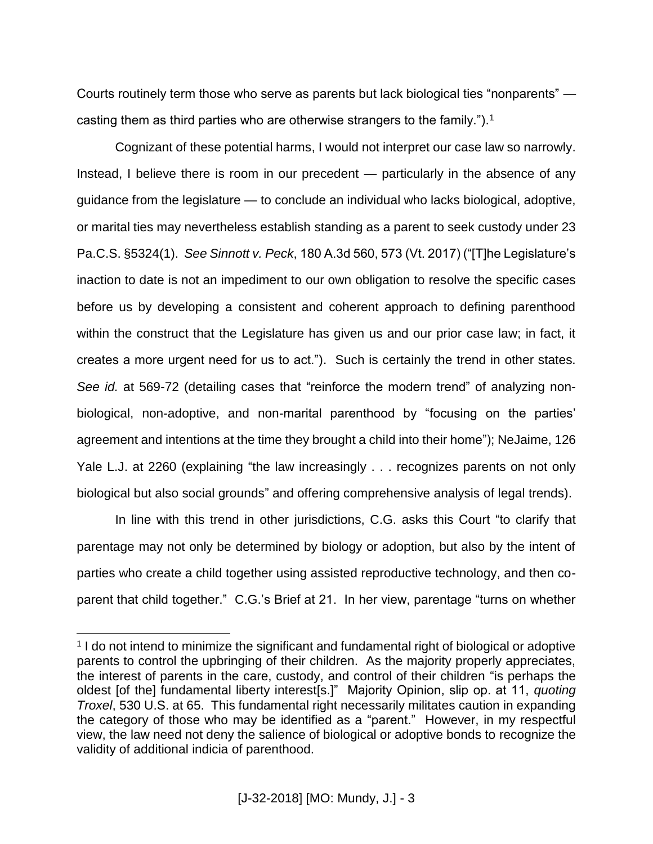Courts routinely term those who serve as parents but lack biological ties "nonparents" casting them as third parties who are otherwise strangers to the family.").<sup>1</sup>

Cognizant of these potential harms, I would not interpret our case law so narrowly. Instead, I believe there is room in our precedent — particularly in the absence of any guidance from the legislature — to conclude an individual who lacks biological, adoptive, or marital ties may nevertheless establish standing as a parent to seek custody under 23 Pa.C.S. §5324(1). *See Sinnott v. Peck*, 180 A.3d 560, 573 (Vt. 2017) ("[T]he Legislature's inaction to date is not an impediment to our own obligation to resolve the specific cases before us by developing a consistent and coherent approach to defining parenthood within the construct that the Legislature has given us and our prior case law; in fact, it creates a more urgent need for us to act."). Such is certainly the trend in other states. *See id.* at 569-72 (detailing cases that "reinforce the modern trend" of analyzing nonbiological, non-adoptive, and non-marital parenthood by "focusing on the parties' agreement and intentions at the time they brought a child into their home"); NeJaime, 126 Yale L.J. at 2260 (explaining "the law increasingly . . . recognizes parents on not only biological but also social grounds" and offering comprehensive analysis of legal trends).

In line with this trend in other jurisdictions, C.G. asks this Court "to clarify that parentage may not only be determined by biology or adoption, but also by the intent of parties who create a child together using assisted reproductive technology, and then coparent that child together." C.G.'s Brief at 21. In her view, parentage "turns on whether

 $\overline{a}$ 

<sup>&</sup>lt;sup>1</sup> I do not intend to minimize the significant and fundamental right of biological or adoptive parents to control the upbringing of their children. As the majority properly appreciates, the interest of parents in the care, custody, and control of their children "is perhaps the oldest [of the] fundamental liberty interest[s.]" Majority Opinion, slip op. at 11, *quoting Troxel*, 530 U.S. at 65. This fundamental right necessarily militates caution in expanding the category of those who may be identified as a "parent." However, in my respectful view, the law need not deny the salience of biological or adoptive bonds to recognize the validity of additional indicia of parenthood.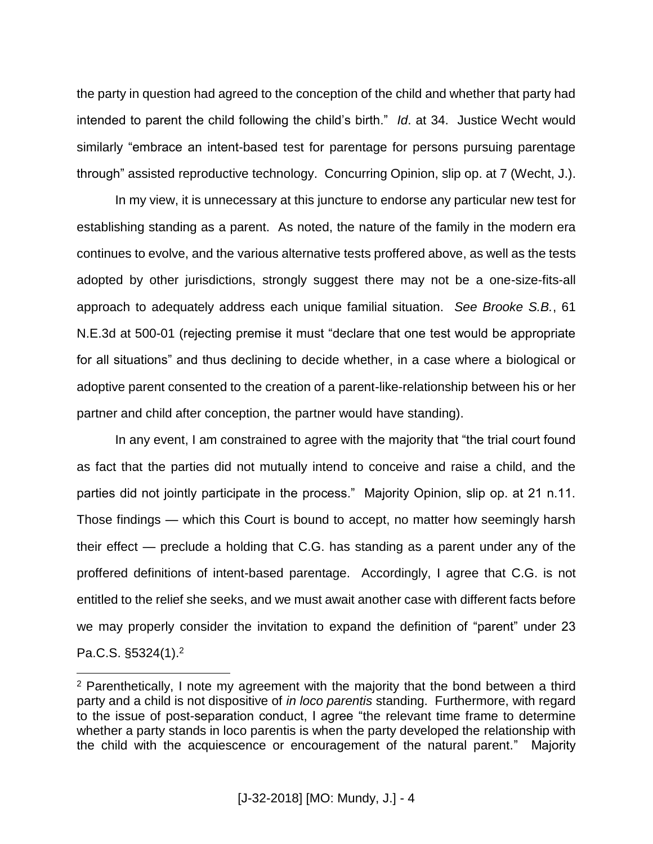the party in question had agreed to the conception of the child and whether that party had intended to parent the child following the child's birth." *Id*. at 34. Justice Wecht would similarly "embrace an intent-based test for parentage for persons pursuing parentage through" assisted reproductive technology. Concurring Opinion, slip op. at 7 (Wecht, J.).

In my view, it is unnecessary at this juncture to endorse any particular new test for establishing standing as a parent. As noted, the nature of the family in the modern era continues to evolve, and the various alternative tests proffered above, as well as the tests adopted by other jurisdictions, strongly suggest there may not be a one-size-fits-all approach to adequately address each unique familial situation. *See Brooke S.B.*, 61 N.E.3d at 500-01 (rejecting premise it must "declare that one test would be appropriate for all situations" and thus declining to decide whether, in a case where a biological or adoptive parent consented to the creation of a parent-like-relationship between his or her partner and child after conception, the partner would have standing).

In any event, I am constrained to agree with the majority that "the trial court found as fact that the parties did not mutually intend to conceive and raise a child, and the parties did not jointly participate in the process." Majority Opinion, slip op. at 21 n.11. Those findings — which this Court is bound to accept, no matter how seemingly harsh their effect — preclude a holding that C.G. has standing as a parent under any of the proffered definitions of intent-based parentage. Accordingly, I agree that C.G. is not entitled to the relief she seeks, and we must await another case with different facts before we may properly consider the invitation to expand the definition of "parent" under 23 Pa.C.S. §5324(1).<sup>2</sup>

 $\overline{a}$ 

 $2$  Parenthetically, I note my agreement with the majority that the bond between a third party and a child is not dispositive of *in loco parentis* standing. Furthermore, with regard to the issue of post-separation conduct, I agree "the relevant time frame to determine whether a party stands in loco parentis is when the party developed the relationship with the child with the acquiescence or encouragement of the natural parent." Majority